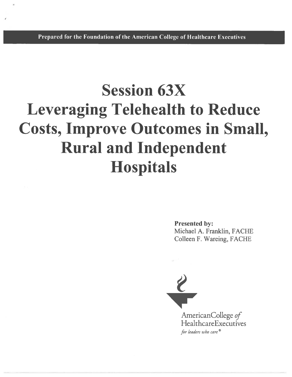# Session 63X Leveraging Telehealth to Reduce Costs, Improve Outcomes in Small, Rural and Independent **Hospitals**

#### Presented by:

Michael A. Franklin, FACHE Colleen F. Wareing, FACHE

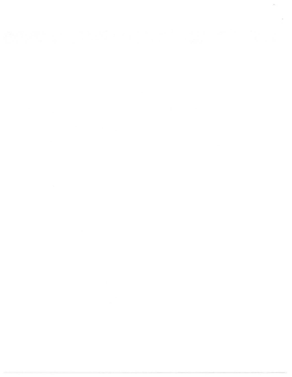$\langle \mathcal{R} \rangle$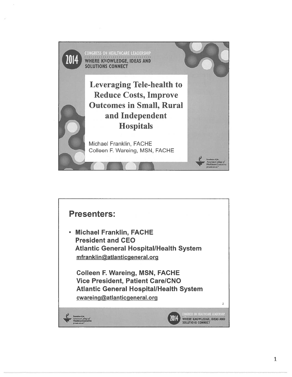

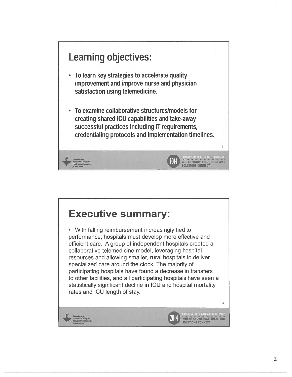

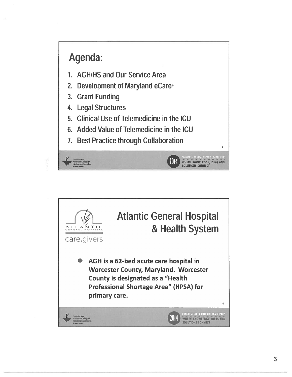

- 1. AGH/HS and Our Service Area
- 2. Development of Maryland eCare®
- 3. Grant Funding

'Waliofarika Marekani

- 4. Legal Structures
- 5. Clinical Use of Telemedicine in the ICU
- 6. Added Value of Telemedicine in the ICU
- 7. Best Practice through Collaboration



WHERE KNOWLEDGE, IDEAS AND SOLUTIONS CONNECT

CONGRESS ON HEALTHCARE LEADERSHIP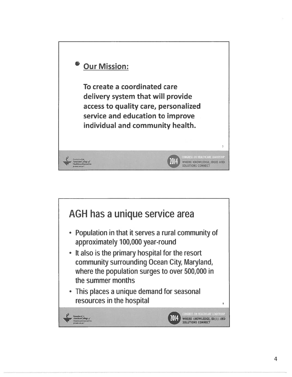

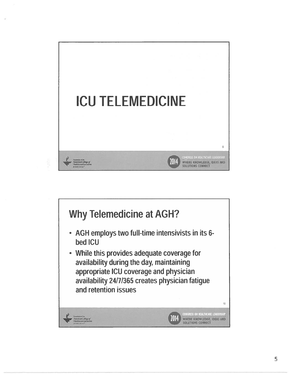

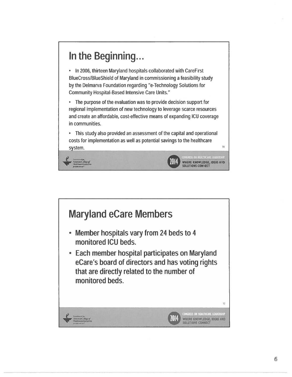## In the Beginning...

• In 2006, thirteen Maryland hospitals collaborated with CareFirst BlueCross/BlueShield of Maryland in commissioning <sup>a</sup> feasibility study by the Delmarva Foundation regarding "e-Technology Solutions for Community Hospital-Based Intensive Care Units."

• The purpose of the evaluation was to provide decision suppor<sup>t</sup> for regional implementation of new technology to leverage scarce resources and create an affordable, cost-effective means of expanding ICU coverage in communities.

• This study also provided an assessment of the capital and operational costs for implementation as well as potential savings to the healthcare system. The contract of the contract of the contract of the contract of the contract of the contract of the co

WHERE KNOWLEDGE, IDEAS AND<br>SOLUTIONS CONNECT

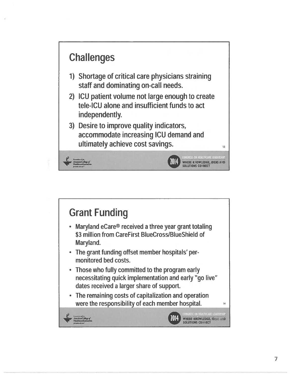

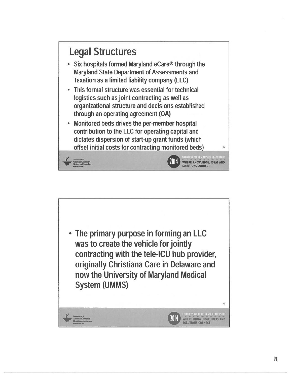

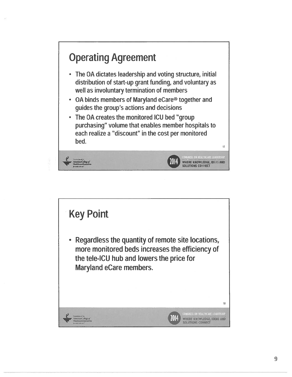

- The OA dictates leadership and voting structure, initial distribution of start-up gran<sup>t</sup> funding, and voluntary as well as involuntary termination of members
- OA binds members of Maryland eCare® together and guides the group's actions and decisions
- • The OA creates the monitored ICU bed "group purchasing" volume that enables member hospitals to each realize <sup>a</sup> "discount" in the cost per monitored bed.

17

ihip -

WHERE KNOWLEDGE, IDEAS AND

**SOLUTIONS CONNECT** 

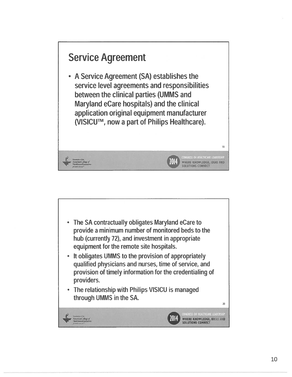

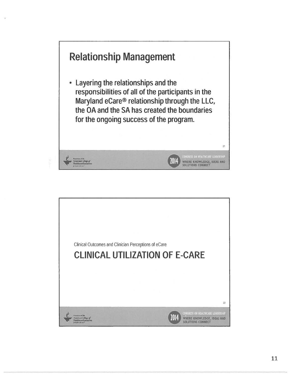

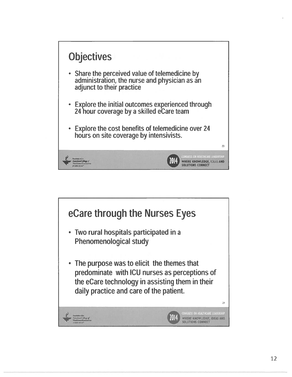

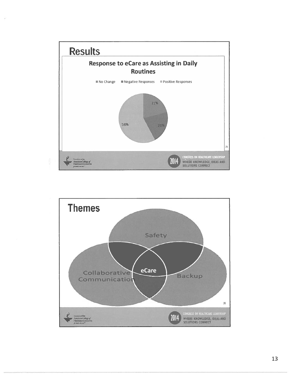

 $\bar{t}$ 

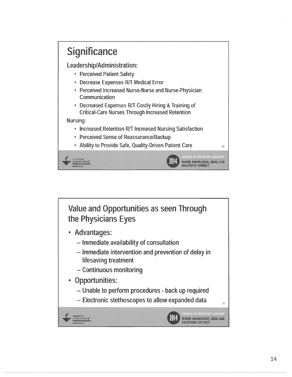

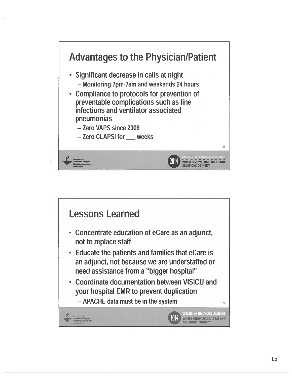

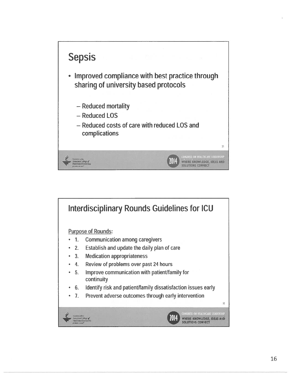

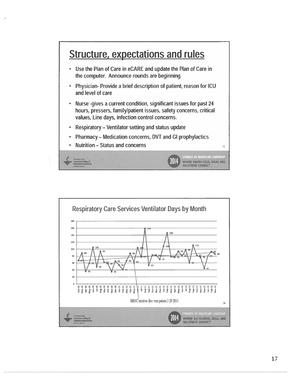

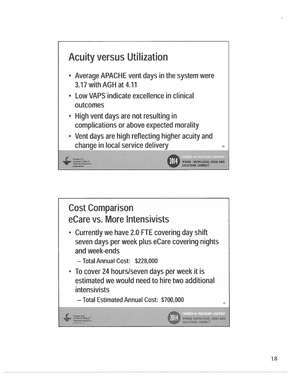

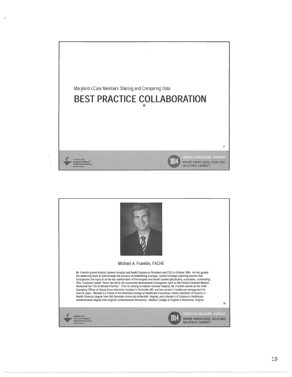

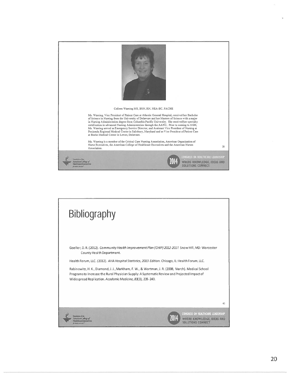

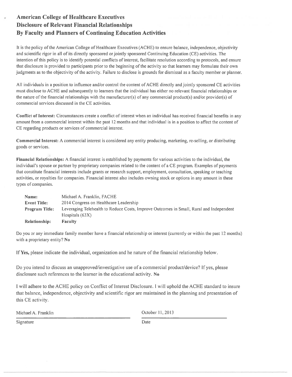### American College of Healthcare Executives Disclosure of Relevant Financial Relationships By Faculty and Planners of Continuing Education Activities

It is the policy ofthe American College of Healthcare Executives (ACHE) to ensure balance, independence, objectivity and scientific rigor in all of its directly sponsored or jointly sponsored Continuing Education (CE) activities. The intention of this policy is to identify potential conflicts of interest, facilitate resolution according to protocols, and ensure that disclosure is provided to participants prior to the beginning of the activity so that learners may formulate their own judgments as to the objectivity ofthe activity. Failure to disclose is grounds for dismissal as <sup>a</sup> faculty member or planner.

All individuals in <sup>a</sup> position to influence and/or control the content of ACHE directly and jointly sponsored CE activities must disclose to ACHE and subsequently to learners that the individual has either no relevant financial relationships or the nature of the financial relationships with the manufacturer(s) of any commercial product(s) and/or provider(s) of commercial services discussed in the CE activities.

Conflict of Interest: Circumstances create <sup>a</sup> conflict of interest when an individual has received financial benefits in any amount from <sup>a</sup> commercial interest within the pas<sup>t</sup> 12 months and that individual is in <sup>a</sup> position to affect the content of CE regarding products or services of commercial interest.

Commercial Interest: A commercial interest is considered any entity producing, marketing, re-selling, or distributing goods or services.

Financial Relationships: A financial interest is established by payments for various activities to the individual, the individual's spouse or partner by proprietary companies related to the content of <sup>a</sup> CE program. Examples of payments that constitute financial interests include grants or research support, employment, consultation, speaking or teaching activities, or royalties for companies. Financial interest also includes owning stock or options in any amount in these types of companies.

| Name:                 | Michael A. Franklin, FACHE                                                              |
|-----------------------|-----------------------------------------------------------------------------------------|
| <b>Event Title:</b>   | 2014 Congress on Healthcare Leadership                                                  |
| <b>Program Title:</b> | Leveraging Telehealth to Reduce Costs, Improve Outcomes in Small, Rural and Independent |
|                       | Hospitals $(63X)$                                                                       |
| <b>Relationship:</b>  | <b>Faculty</b>                                                                          |

Do you or any immediate family member have <sup>a</sup> financial relationship or interest (currently or within the pas<sup>t</sup> 12 months) with <sup>a</sup> proprietary entity? No

If Yes, please indicate the individual, organization and he nature of the financial relationship below.

Do you intend to discuss an unapproved/investigative use of <sup>a</sup> commercial product/device? If yes, please disclosure such references to the learner in the educational activity. No

I will adhere to the ACHE policy on Conflict of Interest Disclosure. I will uphold the ACHE standard to insure that balance, independence, objectivity and scientific rigor are maintained in the planning and presentation of this CE activity.

Michael A. Franklin **Michael A. Franklin October 11, 2013** 

Signature Date